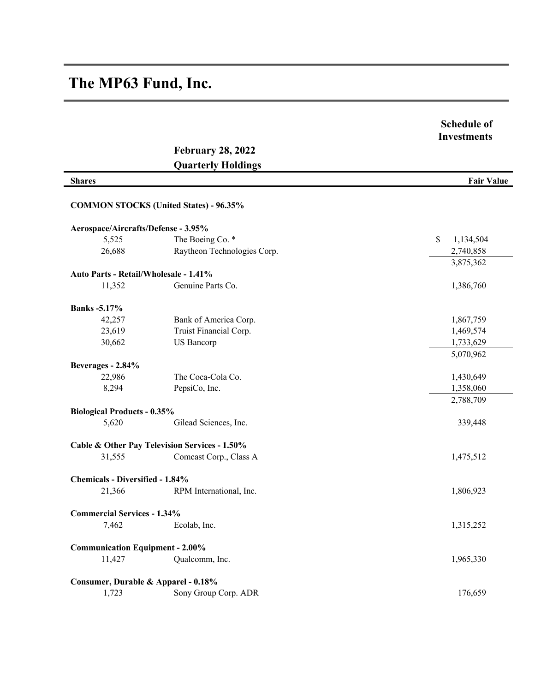## **The MP63 Fund, Inc.**

|                                        |                                               | <b>Schedule of</b><br><b>Investments</b> |
|----------------------------------------|-----------------------------------------------|------------------------------------------|
|                                        | <b>February 28, 2022</b>                      |                                          |
|                                        | <b>Quarterly Holdings</b>                     |                                          |
| <b>Shares</b>                          |                                               | <b>Fair Value</b>                        |
|                                        | <b>COMMON STOCKS (United States) - 96.35%</b> |                                          |
| Aerospace/Aircrafts/Defense - 3.95%    |                                               |                                          |
| 5,525                                  | The Boeing Co. *                              | \$<br>1,134,504                          |
| 26,688                                 | Raytheon Technologies Corp.                   | 2,740,858                                |
|                                        |                                               | 3,875,362                                |
| Auto Parts - Retail/Wholesale - 1.41%  |                                               |                                          |
| 11,352                                 | Genuine Parts Co.                             | 1,386,760                                |
| <b>Banks</b> -5.17%                    |                                               |                                          |
| 42,257                                 | Bank of America Corp.                         | 1,867,759                                |
| 23,619                                 | Truist Financial Corp.                        | 1,469,574                                |
| 30,662                                 | <b>US</b> Bancorp                             | 1,733,629                                |
|                                        |                                               | 5,070,962                                |
| Beverages - 2.84%                      |                                               |                                          |
| 22,986                                 | The Coca-Cola Co.                             | 1,430,649                                |
| 8,294                                  | PepsiCo, Inc.                                 | 1,358,060                                |
|                                        |                                               | 2,788,709                                |
| <b>Biological Products - 0.35%</b>     |                                               |                                          |
| 5,620                                  | Gilead Sciences, Inc.                         | 339,448                                  |
|                                        | Cable & Other Pay Television Services - 1.50% |                                          |
| 31,555                                 | Comcast Corp., Class A                        | 1,475,512                                |
| <b>Chemicals - Diversified - 1.84%</b> |                                               |                                          |
| 21,366                                 | RPM International, Inc.                       | 1,806,923                                |
| <b>Commercial Services - 1.34%</b>     |                                               |                                          |
| 7,462                                  | Ecolab, Inc.                                  | 1,315,252                                |
| <b>Communication Equipment - 2.00%</b> |                                               |                                          |
| 11,427                                 | Qualcomm, Inc.                                | 1,965,330                                |
| Consumer, Durable & Apparel - 0.18%    |                                               |                                          |
| 1,723                                  | Sony Group Corp. ADR                          | 176,659                                  |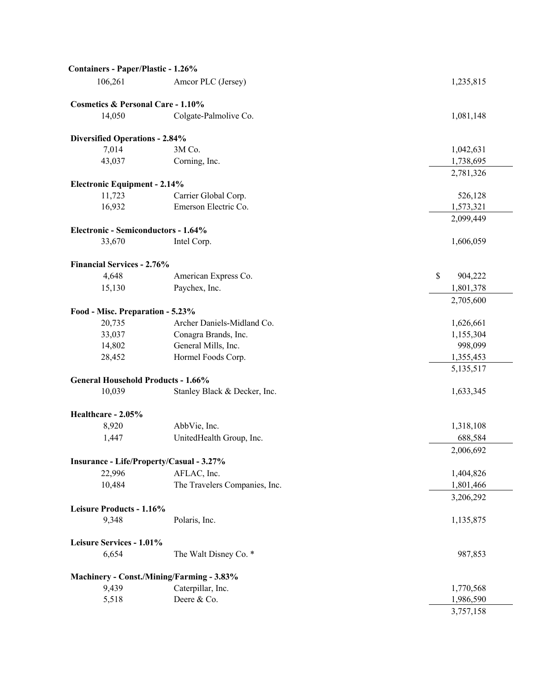| Containers - Paper/Plastic - 1.26%           |                                           |                         |
|----------------------------------------------|-------------------------------------------|-------------------------|
| 106,261                                      | Amcor PLC (Jersey)                        | 1,235,815               |
| <b>Cosmetics &amp; Personal Care - 1.10%</b> |                                           |                         |
| 14,050                                       | Colgate-Palmolive Co.                     | 1,081,148               |
| <b>Diversified Operations - 2.84%</b>        |                                           |                         |
| 7,014                                        | 3M Co.                                    | 1,042,631               |
| 43,037                                       | Corning, Inc.                             | 1,738,695               |
|                                              |                                           | 2,781,326               |
| <b>Electronic Equipment - 2.14%</b>          |                                           |                         |
| 11,723                                       | Carrier Global Corp.                      | 526,128                 |
| 16,932                                       | Emerson Electric Co.                      | 1,573,321               |
|                                              |                                           | 2,099,449               |
| Electronic - Semiconductors - 1.64%          |                                           |                         |
| 33,670                                       | Intel Corp.                               | 1,606,059               |
| <b>Financial Services - 2.76%</b>            |                                           |                         |
| 4,648                                        | American Express Co.                      | $\mathbb{S}$<br>904,222 |
| 15,130                                       | Paychex, Inc.                             | 1,801,378               |
|                                              |                                           | 2,705,600               |
| Food - Misc. Preparation - 5.23%             |                                           |                         |
| 20,735                                       | Archer Daniels-Midland Co.                | 1,626,661               |
| 33,037                                       | Conagra Brands, Inc.                      | 1,155,304               |
| 14,802                                       | General Mills, Inc.                       | 998,099                 |
| 28,452                                       | Hormel Foods Corp.                        | 1,355,453               |
|                                              |                                           | 5,135,517               |
| <b>General Household Products - 1.66%</b>    |                                           |                         |
| 10,039                                       | Stanley Black & Decker, Inc.              | 1,633,345               |
| Healthcare - 2.05%                           |                                           |                         |
| 8,920                                        | AbbVie, Inc.                              | 1,318,108               |
| 1,447                                        | UnitedHealth Group, Inc.                  | 688,584                 |
|                                              |                                           | 2,006,692               |
|                                              | Insurance - Life/Property/Casual - 3.27%  |                         |
| 22,996                                       | AFLAC, Inc.                               | 1,404,826               |
| 10,484                                       | The Travelers Companies, Inc.             | 1,801,466               |
|                                              |                                           | 3,206,292               |
| Leisure Products - 1.16%                     |                                           |                         |
| 9,348                                        | Polaris, Inc.                             | 1,135,875               |
| Leisure Services - 1.01%                     |                                           |                         |
| 6,654                                        | The Walt Disney Co. *                     | 987,853                 |
|                                              | Machinery - Const./Mining/Farming - 3.83% |                         |
| 9,439                                        | Caterpillar, Inc.                         | 1,770,568               |
| 5,518                                        | Deere & Co.                               | 1,986,590               |
|                                              |                                           | 3,757,158               |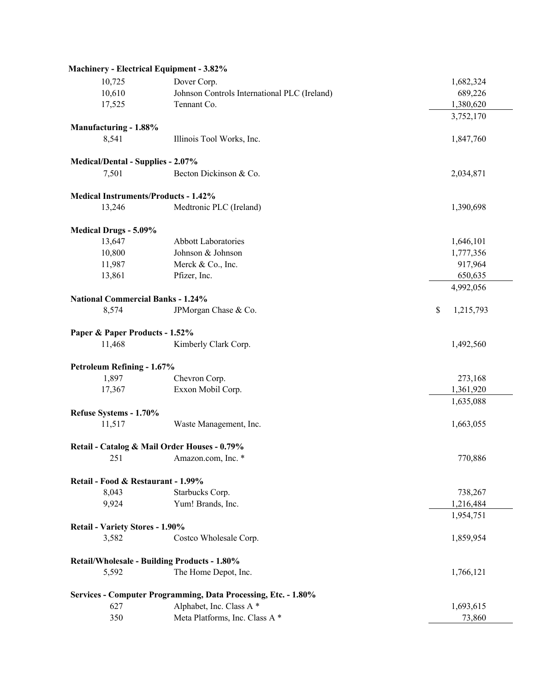| <b>Machinery - Electrical Equipment - 3.82%</b> |                                                                |                 |
|-------------------------------------------------|----------------------------------------------------------------|-----------------|
| 10,725                                          | Dover Corp.                                                    | 1,682,324       |
| 10,610                                          | Johnson Controls International PLC (Ireland)                   | 689,226         |
| 17,525                                          | Tennant Co.                                                    | 1,380,620       |
|                                                 |                                                                | 3,752,170       |
| Manufacturing - 1.88%                           |                                                                |                 |
| 8,541                                           | Illinois Tool Works, Inc.                                      | 1,847,760       |
| <b>Medical/Dental - Supplies - 2.07%</b>        |                                                                |                 |
| 7,501                                           | Becton Dickinson & Co.                                         | 2,034,871       |
| <b>Medical Instruments/Products - 1.42%</b>     |                                                                |                 |
| 13,246                                          | Medtronic PLC (Ireland)                                        | 1,390,698       |
| <b>Medical Drugs - 5.09%</b>                    |                                                                |                 |
| 13,647                                          | <b>Abbott Laboratories</b>                                     | 1,646,101       |
| 10,800                                          | Johnson & Johnson                                              | 1,777,356       |
| 11,987                                          | Merck & Co., Inc.                                              | 917,964         |
| 13,861                                          | Pfizer, Inc.                                                   | 650,635         |
|                                                 |                                                                | 4,992,056       |
| <b>National Commercial Banks - 1.24%</b>        |                                                                |                 |
| 8,574                                           | JPMorgan Chase & Co.                                           | \$<br>1,215,793 |
| Paper & Paper Products - 1.52%                  |                                                                |                 |
| 11,468                                          | Kimberly Clark Corp.                                           | 1,492,560       |
| Petroleum Refining - 1.67%                      |                                                                |                 |
| 1,897                                           | Chevron Corp.                                                  | 273,168         |
| 17,367                                          | Exxon Mobil Corp.                                              | 1,361,920       |
|                                                 |                                                                | 1,635,088       |
| Refuse Systems - 1.70%                          |                                                                |                 |
| 11,517                                          | Waste Management, Inc.                                         | 1,663,055       |
|                                                 | Retail - Catalog & Mail Order Houses - 0.79%                   |                 |
|                                                 | 251 Amazon.com, Inc. *                                         | 770,886         |
| Retail - Food & Restaurant - 1.99%              |                                                                |                 |
| 8,043                                           | Starbucks Corp.                                                | 738,267         |
| 9,924                                           | Yum! Brands, Inc.                                              | 1,216,484       |
|                                                 |                                                                | 1,954,751       |
| <b>Retail - Variety Stores - 1.90%</b>          |                                                                |                 |
| 3,582                                           | Costco Wholesale Corp.                                         | 1,859,954       |
|                                                 | Retail/Wholesale - Building Products - 1.80%                   |                 |
| 5,592                                           | The Home Depot, Inc.                                           | 1,766,121       |
|                                                 | Services - Computer Programming, Data Processing, Etc. - 1.80% |                 |
| 627                                             | Alphabet, Inc. Class A*                                        | 1,693,615       |
| 350                                             | Meta Platforms, Inc. Class A*                                  | 73,860          |
|                                                 |                                                                |                 |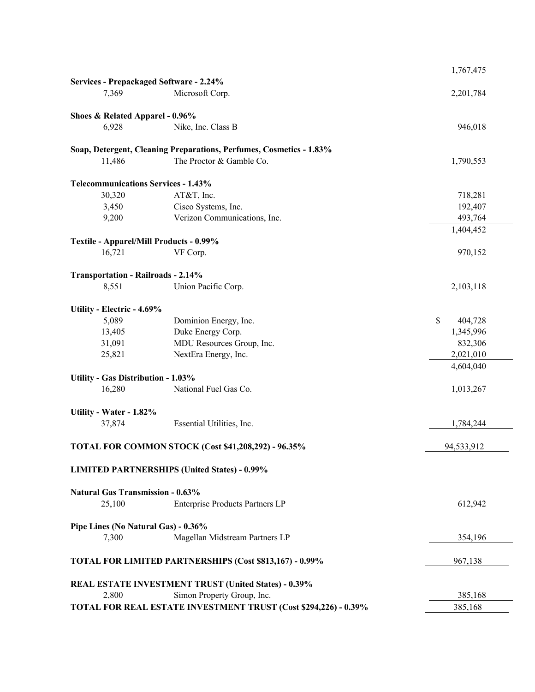|                                                         |                                                                     | 1,767,475     |
|---------------------------------------------------------|---------------------------------------------------------------------|---------------|
| Services - Prepackaged Software - 2.24%                 |                                                                     |               |
| 7,369                                                   | Microsoft Corp.                                                     | 2,201,784     |
| Shoes & Related Apparel - 0.96%                         |                                                                     |               |
| 6,928                                                   | Nike, Inc. Class B                                                  | 946,018       |
|                                                         | Soap, Detergent, Cleaning Preparations, Perfumes, Cosmetics - 1.83% |               |
| 11,486                                                  | The Proctor & Gamble Co.                                            | 1,790,553     |
| <b>Telecommunications Services - 1.43%</b>              |                                                                     |               |
| 30,320                                                  | AT&T, Inc.                                                          | 718,281       |
| 3,450                                                   | Cisco Systems, Inc.                                                 | 192,407       |
| 9,200                                                   | Verizon Communications, Inc.                                        | 493,764       |
|                                                         |                                                                     | 1,404,452     |
| Textile - Apparel/Mill Products - 0.99%                 |                                                                     |               |
| 16,721                                                  | VF Corp.                                                            | 970,152       |
| <b>Transportation - Railroads - 2.14%</b>               |                                                                     |               |
| 8,551                                                   | Union Pacific Corp.                                                 | 2,103,118     |
| Utility - Electric - 4.69%                              |                                                                     |               |
| 5,089                                                   | Dominion Energy, Inc.                                               | \$<br>404,728 |
| 13,405                                                  | Duke Energy Corp.                                                   | 1,345,996     |
| 31,091                                                  | MDU Resources Group, Inc.                                           | 832,306       |
| 25,821                                                  | NextEra Energy, Inc.                                                | 2,021,010     |
|                                                         |                                                                     | 4,604,040     |
| <b>Utility - Gas Distribution - 1.03%</b>               |                                                                     |               |
| 16,280                                                  | National Fuel Gas Co.                                               | 1,013,267     |
| Utility - Water - 1.82%                                 |                                                                     |               |
| 37,874                                                  | Essential Utilities, Inc.                                           | 1,784,244     |
|                                                         | TOTAL FOR COMMON STOCK (Cost \$41,208,292) - 96.35%                 | 94,533,912    |
|                                                         | <b>LIMITED PARTNERSHIPS (United States) - 0.99%</b>                 |               |
| <b>Natural Gas Transmission - 0.63%</b>                 |                                                                     |               |
| 25,100                                                  | Enterprise Products Partners LP                                     | 612,942       |
|                                                         |                                                                     |               |
| Pipe Lines (No Natural Gas) - 0.36%                     |                                                                     |               |
| 7,300                                                   | Magellan Midstream Partners LP                                      | 354,196       |
| TOTAL FOR LIMITED PARTNERSHIPS (Cost \$813,167) - 0.99% |                                                                     | 967,138       |
|                                                         | <b>REAL ESTATE INVESTMENT TRUST (United States) - 0.39%</b>         |               |
| 2,800                                                   | Simon Property Group, Inc.                                          | 385,168       |
|                                                         | TOTAL FOR REAL ESTATE INVESTMENT TRUST (Cost \$294,226) - 0.39%     | 385,168       |